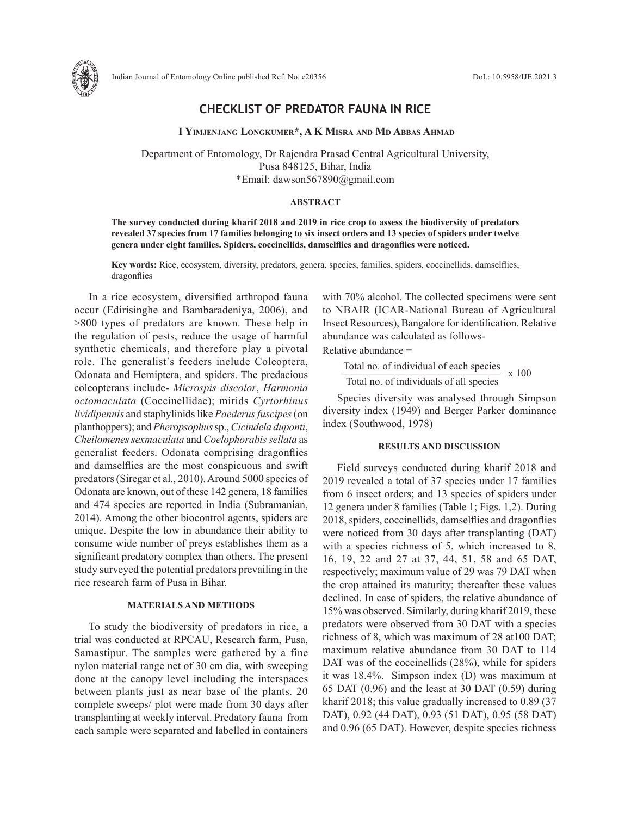

# **CHECKLIST OF PREDATOR FAUNA IN RICE**

 **I Yimjenjang Longkumer\*, A K Misra and Md Abbas Ahmad**

Department of Entomology, Dr Rajendra Prasad Central Agricultural University, Pusa 848125, Bihar, India \*Email: dawson567890@gmail.com

## **ABSTRACT**

**The survey conducted during kharif 2018 and 2019 in rice crop to assess the biodiversity of predators revealed 37 species from 17 families belonging to six insect orders and 13 species of spiders under twelve genera under eight families. Spiders, coccinellids, damselflies and dragonflies were noticed.**

**Key words:** Rice, ecosystem, diversity, predators, genera, species, families, spiders, coccinellids, damselflies, dragonflies

In a rice ecosystem, diversified arthropod fauna occur (Edirisinghe and Bambaradeniya, 2006), and >800 types of predators are known. These help in the regulation of pests, reduce the usage of harmful synthetic chemicals, and therefore play a pivotal role. The generalist's feeders include Coleoptera, Odonata and Hemiptera, and spiders. The predacious coleopterans include- *Microspis discolor*, *Harmonia octomaculata* (Coccinellidae); mirids *Cyrtorhinus lividipennis* and staphylinids like *Paederus fuscipes* (on planthoppers); and *Pheropsophus* sp., *Cicindela duponti*, *Cheilomenes sexmaculata* and *Coelophorabis sellata* as generalist feeders. Odonata comprising dragonflies and damselflies are the most conspicuous and swift predators (Siregar et al., 2010). Around 5000 species of Odonata are known, out of these 142 genera, 18 families and 474 species are reported in India (Subramanian, 2014). Among the other biocontrol agents, spiders are unique. Despite the low in abundance their ability to consume wide number of preys establishes them as a significant predatory complex than others. The present study surveyed the potential predators prevailing in the rice research farm of Pusa in Bihar.

#### **MATERIALS AND METHODS**

To study the biodiversity of predators in rice, a trial was conducted at RPCAU, Research farm, Pusa, Samastipur. The samples were gathered by a fine nylon material range net of 30 cm dia, with sweeping done at the canopy level including the interspaces between plants just as near base of the plants. 20 complete sweeps/ plot were made from 30 days after transplanting at weekly interval. Predatory fauna from each sample were separated and labelled in containers

with 70% alcohol. The collected specimens were sent to NBAIR (ICAR-National Bureau of Agricultural Insect Resources), Bangalore for identification. Relative abundance was calculated as follows-

Relative abundance =

Total no. of individual of each species  $x = 100$ Total no. of individuals of all species

Species diversity was analysed through Simpson diversity index (1949) and Berger Parker dominance index (Southwood, 1978)

#### **RESULTS AND DISCUSSION**

Field surveys conducted during kharif 2018 and 2019 revealed a total of 37 species under 17 families from 6 insect orders; and 13 species of spiders under 12 genera under 8 families (Table 1; Figs. 1,2). During 2018, spiders, coccinellids, damselflies and dragonflies were noticed from 30 days after transplanting (DAT) with a species richness of 5, which increased to 8, 16, 19, 22 and 27 at 37, 44, 51, 58 and 65 DAT, respectively; maximum value of 29 was 79 DAT when the crop attained its maturity; thereafter these values declined. In case of spiders, the relative abundance of 15% was observed. Similarly, during kharif 2019, these predators were observed from 30 DAT with a species richness of 8, which was maximum of 28 at100 DAT; maximum relative abundance from 30 DAT to 114 DAT was of the coccinellids (28%), while for spiders it was 18.4%. Simpson index (D) was maximum at 65 DAT (0.96) and the least at 30 DAT (0.59) during kharif 2018; this value gradually increased to 0.89 (37 DAT), 0.92 (44 DAT), 0.93 (51 DAT), 0.95 (58 DAT) and 0.96 (65 DAT). However, despite species richness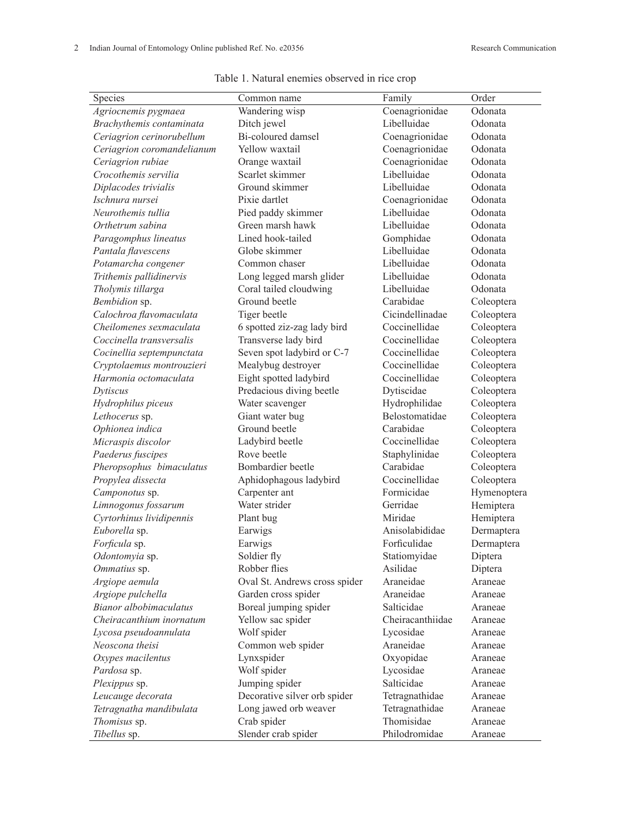| Species                    | Common name                   | Family           | Order       |  |
|----------------------------|-------------------------------|------------------|-------------|--|
| Agriocnemis pygmaea        | Wandering wisp                | Coenagrionidae   | Odonata     |  |
| Brachythemis contaminata   | Ditch jewel                   | Libelluidae      | Odonata     |  |
| Ceriagrion cerinorubellum  | Bi-coloured damsel            | Coenagrionidae   | Odonata     |  |
| Ceriagrion coromandelianum | Yellow waxtail                | Coenagrionidae   | Odonata     |  |
| Ceriagrion rubiae          | Orange waxtail                | Coenagrionidae   | Odonata     |  |
| Crocothemis servilia       | Scarlet skimmer               | Libelluidae      | Odonata     |  |
| Diplacodes trivialis       | Ground skimmer                | Libelluidae      | Odonata     |  |
| Ischnura nursei            | Pixie dartlet                 | Coenagrionidae   | Odonata     |  |
| Neurothemis tullia         | Pied paddy skimmer            | Libelluidae      | Odonata     |  |
| Orthetrum sabina           | Green marsh hawk              | Libelluidae      | Odonata     |  |
| Paragomphus lineatus       | Lined hook-tailed             | Gomphidae        | Odonata     |  |
| Pantala flavescens         | Globe skimmer                 | Libelluidae      | Odonata     |  |
| Potamarcha congener        | Common chaser                 | Libelluidae      | Odonata     |  |
| Trithemis pallidinervis    | Long legged marsh glider      | Libelluidae      | Odonata     |  |
| Tholymis tillarga          | Coral tailed cloudwing        | Libelluidae      | Odonata     |  |
| Bembidion sp.              | Ground beetle                 | Carabidae        | Coleoptera  |  |
| Calochroa flavomaculata    | Tiger beetle                  | Cicindellinadae  | Coleoptera  |  |
| Cheilomenes sexmaculata    | 6 spotted ziz-zag lady bird   | Coccinellidae    | Coleoptera  |  |
| Coccinella transversalis   | Transverse lady bird          | Coccinellidae    | Coleoptera  |  |
| Cocinellia septempunctata  | Seven spot ladybird or C-7    | Coccinellidae    | Coleoptera  |  |
| Cryptolaemus montrouzieri  | Mealybug destroyer            | Coccinellidae    | Coleoptera  |  |
| Harmonia octomaculata      | Eight spotted ladybird        | Coccinellidae    | Coleoptera  |  |
| Dytiscus                   | Predacious diving beetle      | Dytiscidae       | Coleoptera  |  |
| Hydrophilus piceus         | Water scavenger               | Hydrophilidae    | Coleoptera  |  |
| Lethocerus sp.             | Giant water bug               | Belostomatidae   | Coleoptera  |  |
| Ophionea indica            | Ground beetle                 | Carabidae        | Coleoptera  |  |
| Micraspis discolor         | Ladybird beetle               | Coccinellidae    | Coleoptera  |  |
| Paederus fuscipes          | Rove beetle                   | Staphylinidae    | Coleoptera  |  |
| Pheropsophus bimaculatus   | Bombardier beetle             | Carabidae        | Coleoptera  |  |
| Propylea dissecta          | Aphidophagous ladybird        | Coccinellidae    | Coleoptera  |  |
| Camponotus sp.             | Carpenter ant                 | Formicidae       | Hymenoptera |  |
| Limnogonus fossarum        | Water strider                 | Gerridae         | Hemiptera   |  |
| Cyrtorhinus lividipennis   | Plant bug                     | Miridae          | Hemiptera   |  |
| Euborella sp.              | Earwigs                       | Anisolabididae   | Dermaptera  |  |
| Forficula sp.              | Earwigs                       | Forficulidae     | Dermaptera  |  |
| Odontomyia sp.             | Soldier fly                   | Statiomyidae     | Diptera     |  |
| Ommatius sp.               | Robber flies                  | Asilidae         | Diptera     |  |
| Argiope aemula             | Oval St. Andrews cross spider | Araneidae        | Araneae     |  |
| Argiope pulchella          | Garden cross spider           | Araneidae        | Araneae     |  |
| Bianor albobimaculatus     | Boreal jumping spider         | Salticidae       | Araneae     |  |
| Cheiracanthium inornatum   | Yellow sac spider             | Cheiracanthiidae | Araneae     |  |
| Lycosa pseudoannulata      | Wolf spider                   | Lycosidae        | Araneae     |  |
| Neoscona theisi            | Common web spider             | Araneidae        | Araneae     |  |
| Oxypes macilentus          | Lynxspider                    | Oxyopidae        | Araneae     |  |
| <i>Pardosa</i> sp.         | Wolf spider                   | Lycosidae        | Araneae     |  |
| Plexippus sp.              | Jumping spider                | Salticidae       | Araneae     |  |
| Leucauge decorata          | Decorative silver orb spider  | Tetragnathidae   | Araneae     |  |
| Tetragnatha mandibulata    | Long jawed orb weaver         | Tetragnathidae   | Araneae     |  |
| Thomisus sp.               | Crab spider                   | Thomisidae       | Araneae     |  |
| Tibellus sp.               | Slender crab spider           | Philodromidae    | Araneae     |  |
|                            |                               |                  |             |  |

Table 1. Natural enemies observed in rice crop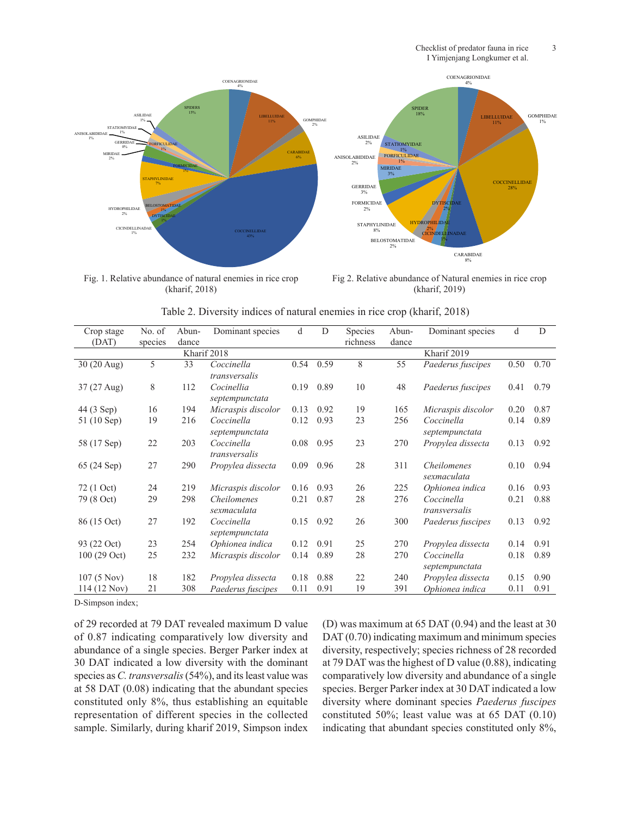

 $(mmin, 2010)$ Fig. 1. Relative abundance of natural enemies in rice crop (kharif, 2018)

Fig 2. Relative abundance of Natural enemies in rice crop (kharif, 2019)

| Crop stage   | No. of  | Abun- | Dominant species             | d    | D         | Species  | Abun-       | Dominant species                  | d    | D    |
|--------------|---------|-------|------------------------------|------|-----------|----------|-------------|-----------------------------------|------|------|
| (DAT)        | species | dance |                              |      |           | richness | dance       |                                   |      |      |
| Kharif 2018  |         |       |                              |      |           |          | Kharif 2019 |                                   |      |      |
| 30 (20 Aug)  | 5       | 33    | Coccinella<br>transversalis  |      | 0.54 0.59 | 8        | 55          | Paederus fuscipes                 | 0.50 | 0.70 |
| 37 (27 Aug)  | 8       | 112   | Cocinellia<br>septempunctata | 0.19 | 0.89      | 10       | 48          | Paederus fuscipes                 | 0.41 | 0.79 |
| 44 (3 Sep)   | 16      | 194   | Micraspis discolor           | 0.13 | 0.92      | 19       | 165         | Micraspis discolor                | 0.20 | 0.87 |
| 51 (10 Sep)  | 19      | 216   | Coccinella<br>septempunctata | 0.12 | 0.93      | 23       | 256         | Coccinella<br>septempunctata      | 0.14 | 0.89 |
| 58 (17 Sep)  | 22      | 203   | Coccinella<br>transversalis  | 0.08 | 0.95      | 23       | 270         | Propylea dissecta                 | 0.13 | 0.92 |
| 65 (24 Sep)  | 27      | 290   | Propylea dissecta            | 0.09 | 0.96      | 28       | 311         | <i>Cheilomenes</i><br>sexmaculata | 0.10 | 0.94 |
| 72 (1 Oct)   | 24      | 219   | Micraspis discolor           | 0.16 | 0.93      | 26       | 225         | Ophionea indica                   | 0.16 | 0.93 |
| 79 (8 Oct)   | 29      | 298   | Cheilomenes<br>sexmaculata   | 0.21 | 0.87      | 28       | 276         | Coccinella<br>transversalis       | 0.21 | 0.88 |
| 86 (15 Oct)  | 27      | 192   | Coccinella<br>septempunctata | 0.15 | 0.92      | 26       | 300         | Paederus fuscipes                 | 0.13 | 0.92 |
| 93 (22 Oct)  | 23      | 254   | Ophionea indica              | 0.12 | 0.91      | 25       | 270         | Propylea dissecta                 | 0.14 | 0.91 |
| 100 (29 Oct) | 25      | 232   | Micraspis discolor           | 0.14 | 0.89      | 28       | 270         | Coccinella<br>septempunctata      | 0.18 | 0.89 |
| 107(5 Nov)   | 18      | 182   | Propylea dissecta            | 0.18 | 0.88      | 22       | 240         | Propylea dissecta                 | 0.15 | 0.90 |
| 114 (12 Nov) | 21      | 308   | Paederus fuscipes            | 0.11 | 0.91      | 19       | 391         | Ophionea indica                   | 0.11 | 0.91 |

Table 2. Diversity indices of natural enemies in rice crop (kharif, 2018)

D-Simpson index;

of 29 recorded at 79 DAT revealed maximum D value of 0.87 indicating comparatively low diversity and abundance of a single species. Berger Parker index at 30 DAT indicated a low diversity with the dominant species as *C. transversalis* (54%), and its least value was at 58 DAT (0.08) indicating that the abundant species constituted only 8%, thus establishing an equitable representation of different species in the collected sample. Similarly, during kharif 2019, Simpson index (D) was maximum at 65 DAT (0.94) and the least at 30 DAT  $(0.70)$  indicating maximum and minimum species diversity, respectively; species richness of 28 recorded at 79 DAT was the highest of D value (0.88), indicating comparatively low diversity and abundance of a single species. Berger Parker index at 30 DAT indicated a low diversity where dominant species *Paederus fuscipes*  constituted 50%; least value was at 65 DAT (0.10) indicating that abundant species constituted only 8%,